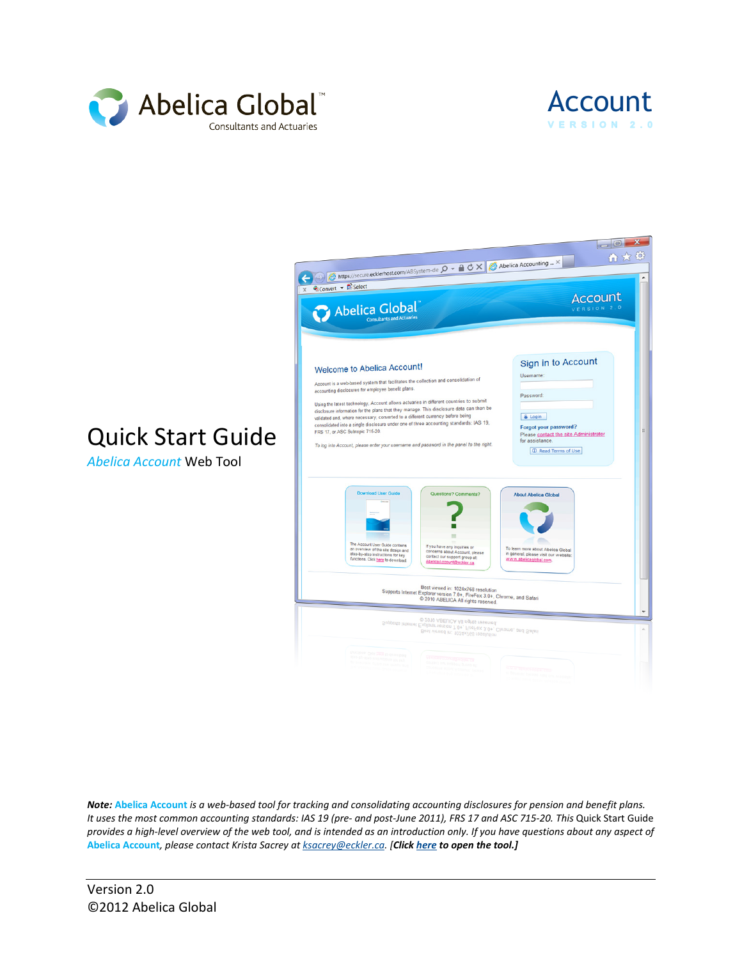



## Quick Start Guide

*Abelica Account* Web Tool



*Note:* **Abelica Account** *is a web-based tool for tracking and consolidating accounting disclosures for pension and benefit plans. It uses the most common accounting standards: IAS 19 (pre- and post-June 2011), FRS 17 and ASC 715-20. This* Quick Start Guide *provides a high-level overview of the web tool, and is intended as an introduction only. If you have questions about any aspect of*  **Abelica Account***, please contact Krista Sacrey at [ksacrey@eckler.ca.](mailto:ksacrey@eckler.ca) [Clic[k here](https://secure.ecklerhost.com/absystem/) to open the tool.]*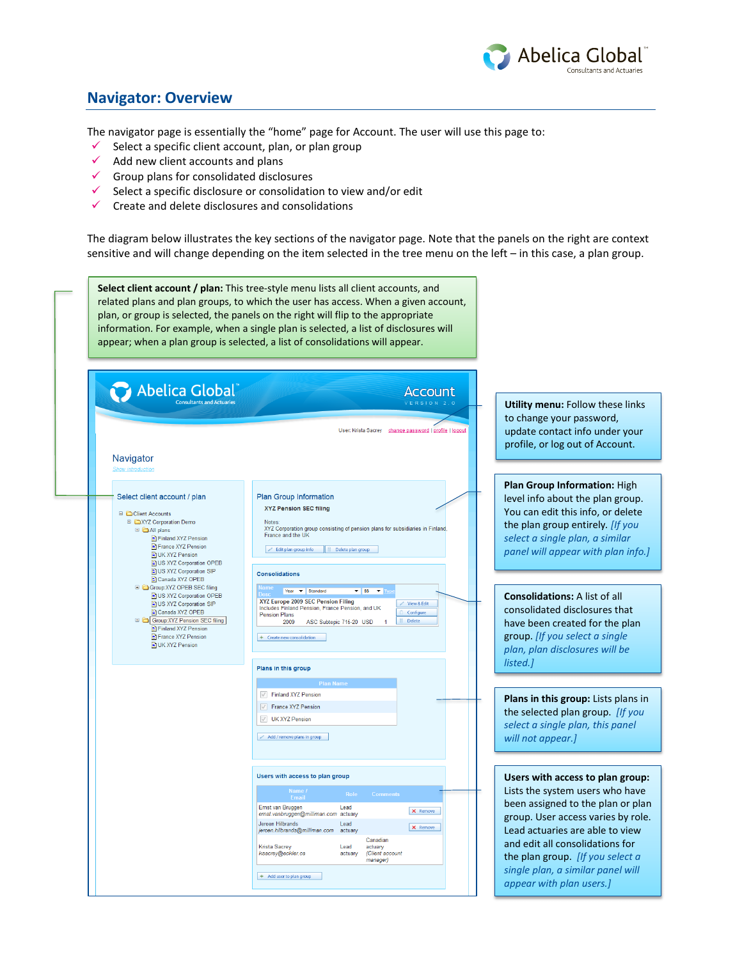

## **Navigator: Overview**

The navigator page is essentially the "home" page for Account. The user will use this page to:

- $\checkmark$  Select a specific client account, plan, or plan group
- $\checkmark$  Add new client accounts and plans
- $\checkmark$  Group plans for consolidated disclosures
- Select a specific disclosure or consolidation to view and/or edit
- $\checkmark$  Create and delete disclosures and consolidations

The diagram below illustrates the key sections of the navigator page. Note that the panels on the right are context sensitive and will change depending on the item selected in the tree menu on the left – in this case, a plan group.

**Select client account / plan:** This tree-style menu lists all client accounts, and related plans and plan groups, to which the user has access. When a given account, plan, or group is selected, the panels on the right will flip to the appropriate information. For example, when a single plan is selected, a list of disclosures will appear; when a plan group is selected, a list of consolidations will appear.

| Navigator                                                                                                                                                                                                                                                      | Babelica Global<br>User: Krista Sacrey change password   profile   logout                                                                                                                                                                                                                                                                                         | Utility menu: Follow these links<br>to change your password,<br>update contact info under your<br>profile, or log out of Account.                                                                                                                                                                                         |
|----------------------------------------------------------------------------------------------------------------------------------------------------------------------------------------------------------------------------------------------------------------|-------------------------------------------------------------------------------------------------------------------------------------------------------------------------------------------------------------------------------------------------------------------------------------------------------------------------------------------------------------------|---------------------------------------------------------------------------------------------------------------------------------------------------------------------------------------------------------------------------------------------------------------------------------------------------------------------------|
| <b>Show introduction</b><br>Select client account / plan<br>□ Client Accounts<br>□ CXYZ Corporation Demo<br><b>E C</b> All plans<br>Finland XYZ Pension<br>France XYZ Pension<br><b>ET UK XYZ Pension</b><br>US XYZ Corporation OPEB<br>US XYZ Corporation SIP | Plan Group Information<br><b>XYZ Pension SEC filing</b><br>Notes<br>XYZ Corporation group consisting of pension plans for subsidiaries in Finland,<br>France and the UK<br>Edit plan group info<br>Delete plan group                                                                                                                                              | Plan Group Information: High<br>level info about the plan group.<br>You can edit this info, or delete<br>the plan group entirely. [If you<br>select a single plan, a similar<br>panel will appear with plan info.]                                                                                                        |
| Canada XYZ OPEB<br>G Group:XYZ OPEB SEC filing<br>US XYZ Corporation OPEB<br>US XYZ Corporation SIP<br>Canada XYZ OPEB<br>Group:XYZ Pension SEC filing<br>Finland XYZ Pension<br>France XYZ Pension<br>UK XYZ Pension                                          | <b>Consolidations</b><br>$\overline{\phantom{0}}$ SS $\overline{\phantom{0}}$ Typ<br>Year v Standard<br>XYZ Europe 2009 SEC Pension Filing<br>View & Edit<br>Includes Finland Pension, France Pension, and UK<br>Configure<br><b>Pension Plans</b><br>Delete<br>ASC Subtopic 715-20 USD<br>2009<br>+ Create new consolidation                                     | <b>Consolidations: A list of all</b><br>consolidated disclosures that<br>have been created for the plan<br>group. [If you select a single<br>plan, plan disclosures will be<br>listed.]                                                                                                                                   |
|                                                                                                                                                                                                                                                                | Plans in this group                                                                                                                                                                                                                                                                                                                                               |                                                                                                                                                                                                                                                                                                                           |
|                                                                                                                                                                                                                                                                | <b>Plan Name</b><br>Finland XYZ Pension<br>France XYZ Pension<br>V UK XYZ Pension<br>$\mathcal{P}$ Add / remove plans in group                                                                                                                                                                                                                                    | Plans in this group: Lists plans in<br>the selected plan group. [If you<br>select a single plan, this panel<br>will not appear.]                                                                                                                                                                                          |
|                                                                                                                                                                                                                                                                | Users with access to plan group                                                                                                                                                                                                                                                                                                                                   |                                                                                                                                                                                                                                                                                                                           |
|                                                                                                                                                                                                                                                                | Name /<br>Role<br><b>Comments</b><br>Email<br>Ernst van Bruggen<br>Lead<br>X Remove<br>emst.vanbruggen@milliman.com actuary<br>Jeroen Hilbrands<br>Lead<br>X Remove<br>jeroen.hilbrands@milliman.com<br>actuary<br>Canadian<br><b>Krista Sacrey</b><br>Lead<br>actuary<br>ksacrey@eckler.ca<br>actuary<br>(Client account<br>manager)<br>+ Add user to plan group | Users with access to plan group:<br>Lists the system users who have<br>been assigned to the plan or plan<br>group. User access varies by role.<br>Lead actuaries are able to view<br>and edit all consolidations for<br>the plan group. [If you select a<br>single plan, a similar panel will<br>appear with plan users.] |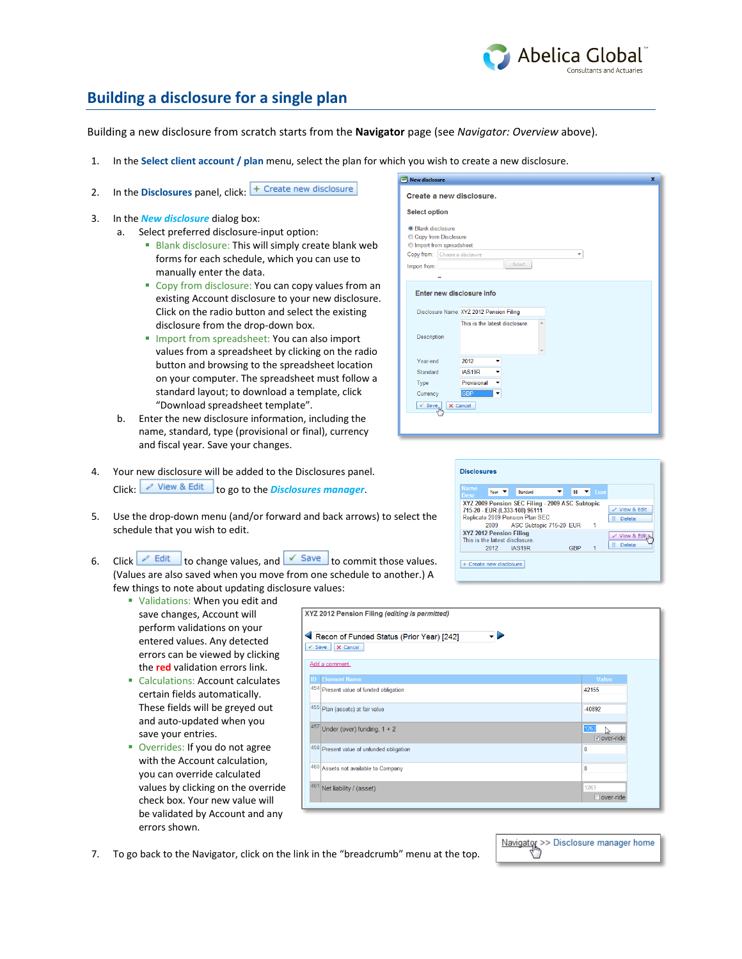

## **Building a disclosure for a single plan**

Building a new disclosure from scratch starts from the **Navigator** page (see *Navigator: Overview* above).

- 1. In the **Select client account / plan** menu, select the plan for which you wish to create a new disclosure.
- 2. In the **Disclosures** panel, click: **+ Create new disclosure**
- 3. In the *New disclosure* dialog box:
	- a. Select preferred disclosure-input option:
		- **Blank disclosure: This will simply create blank web** forms for each schedule, which you can use to manually enter the data.
		- **Copy from disclosure: You can copy values from an** existing Account disclosure to your new disclosure. Click on the radio button and select the existing disclosure from the drop-down box.
		- **Import from spreadsheet: You can also import** values from a spreadsheet by clicking on the radio button and browsing to the spreadsheet location on your computer. The spreadsheet must follow a standard layout; to download a template, click "Download spreadsheet template".
	- b. Enter the new disclosure information, including the name, standard, type (provisional or final), currency and fiscal year. Save your changes.
- 4. Your new disclosure will be added to the Disclosures panel. Click: View & Edit to go to the *Disclosures manager*.
- 5. Use the drop-down menu (and/or forward and back arrows) to select the schedule that you wish to edit.
- 6. Click  $\ell$  Edit to change values, and  $\ell$  Save to commit those values. (Values are also saved when you move from one schedule to another.) A few things to note about updating disclosure values:
	- Validations: When you edit and save changes, Account will perform validations on your entered values. Any detected errors can be viewed by clicking the **red** validation errors link.
	- Calculations: Account calculates certain fields automatically. These fields will be greyed out and auto-updated when you save your entries.
	- **Overrides: If you do not agree** with the Account calculation, you can override calculated values by clicking on the override check box. Your new value will be validated by Account and any errors shown.

| XYZ 2012 Pension Filing (editing is permitted)                                  |                                            |
|---------------------------------------------------------------------------------|--------------------------------------------|
| Recon of Funded Status (Prior Year) [242]<br>۰<br>$\checkmark$ Save<br>X Cancel |                                            |
| Add a comment.                                                                  |                                            |
| <b>Element Name</b><br>ID                                                       | <b>Value</b>                               |
| 454 Present value of funded obligation                                          | 42155                                      |
| 455 Plan (assets) at fair value                                                 | $-40892$                                   |
| 457<br>Under (over) funding, $1 + 2$                                            | 1263<br>$\mathbb{Z}$<br><b>▽</b> over-ride |
| 458 Present value of unfunded obligation                                        | $\mathbf{0}$                               |
| 460 Assets not available to Company                                             | $\bf{0}$                                   |
| 461<br>Net liability / (asset)                                                  | 1263<br>$\Box$ over-ride                   |

7. To go back to the Navigator, click on the link in the "breadcrumb" menu at the top.



| $\boldsymbol{\mathsf{x}}$<br>New disclosure                    |
|----------------------------------------------------------------|
| Create a new disclosure.                                       |
| <b>Select option</b>                                           |
| <b>O</b> Blank disclosure                                      |
| Copy from Disclosure                                           |
| Import from spreadsheet<br>Copy from: Choose a disclosure<br>÷ |
| Select                                                         |
| Import from:                                                   |
|                                                                |
| Enter new disclosure info                                      |
|                                                                |
| Disclosure Name XYZ 2012 Pension Filing                        |
| This is the latest disclosure                                  |
| Description                                                    |
|                                                                |
| Year-end<br>2012                                               |
| Standard<br>IAS19R                                             |
| Provisional<br>Type<br>٠                                       |
| <b>GBP</b><br>Currency<br>▼                                    |
| $\checkmark$ Save<br>X Cancel<br>Jh.                           |
|                                                                |
|                                                                |